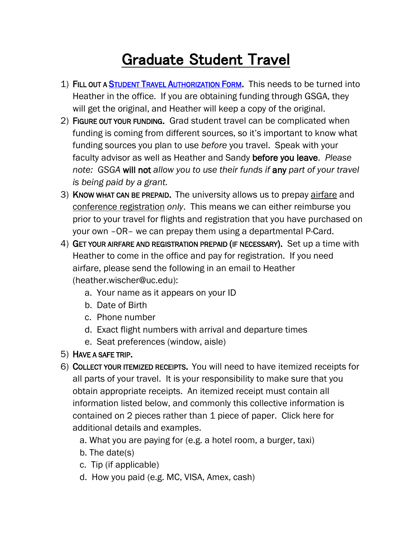## Graduate Student Travel

- 1) FILL OUT A [STUDENT TRAVEL AUTHORIZATION FORM.](http://www.uc.edu/content/dam/uc/about/docs/university_policies/student_travauth_individual.docx) This needs to be turned into Heather in the office. If you are obtaining funding through GSGA, they will get the original, and Heather will keep a copy of the original.
- 2) FIGURE OUT YOUR FUNDING. Grad student travel can be complicated when funding is coming from different sources, so it's important to know what funding sources you plan to use *before* you travel. Speak with your faculty advisor as well as Heather and Sandy before you leave. *Please note: GSGA* will not *allow you to use their funds if* any *part of your travel is being paid by a grant.*
- 3) KNOW WHAT CAN BE PREPAID. The university allows us to prepay airfare and conference registration *only*. This means we can either reimburse you prior to your travel for flights and registration that you have purchased on your own –OR– we can prepay them using a departmental P-Card.
- 4) GET YOUR AIRFARE AND REGISTRATION PREPAID (IF NECESSARY). Set up a time with Heather to come in the office and pay for registration. If you need airfare, please send the following in an email to Heather (heather.wischer@uc.edu):
	- a. Your name as it appears on your ID
	- b. Date of Birth
	- c. Phone number
	- d. Exact flight numbers with arrival and departure times
	- e. Seat preferences (window, aisle)
- 5) HAVE A SAFE TRIP.
- 6) COLLECT YOUR ITEMIZED RECEIPTS. You will need to have itemized receipts for all parts of your travel. It is your responsibility to make sure that you obtain appropriate receipts. An itemized receipt must contain all information listed below, and commonly this collective information is contained on 2 pieces rather than 1 piece of paper. Click [here](http://www.artsci.uc.edu/content/dam/artsci/departments/biology/Docs/pdf_dept/What%20is%20an%20Itemized%20Receipt.pdf) for additional details and examples.
	- a. What you are paying for (e.g. a hotel room, a burger, taxi)
	- b. The date(s)
	- c. Tip (if applicable)
	- d. How you paid (e.g. MC, VISA, Amex, cash)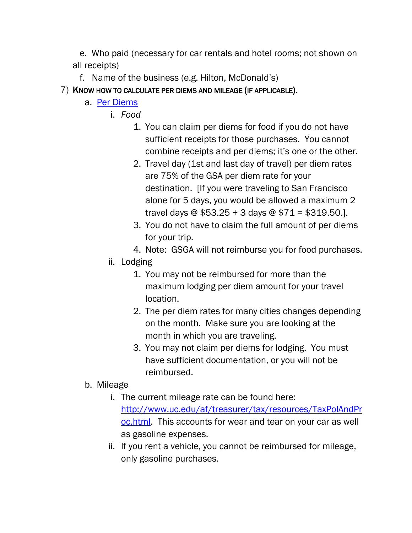e. Who paid (necessary for car rentals and hotel rooms; not shown on all receipts)

f. Name of the business (e.g. Hilton, McDonald's)

7) KNOW HOW TO CALCULATE PER DIEMS AND MILEAGE (IF APPLICABLE).

- a. [Per Diems](http://www.gsa.gov/portal/content/104877)
	- i. *Food*
		- 1. You can claim per diems for food if you do not have sufficient receipts for those purchases. You cannot combine receipts and per diems; it's one or the other.
		- 2. Travel day (1st and last day of travel) per diem rates are 75% of the GSA per diem rate for your destination. [If you were traveling to San Francisco alone for 5 days, you would be allowed a maximum 2 travel days @ \$53.25 + 3 days @ \$71 = \$319.50.].
		- 3. You do not have to claim the full amount of per diems for your trip.
		- 4. Note: GSGA will not reimburse you for food purchases.
		- ii. Lodging
			- 1. You may not be reimbursed for more than the maximum lodging per diem amount for your travel location.
			- 2. The per diem rates for many cities changes depending on the month. Make sure you are looking at the month in which you are traveling.
			- 3. You may not claim per diems for lodging. You must have sufficient documentation, or you will not be reimbursed.

## b. Mileage

- i. The current mileage rate can be found here: [http://www.uc.edu/af/treasurer/tax/resources/TaxPolAndPr](http://www.uc.edu/af/treasurer/tax/resources/TaxPolAndProc.html) [oc.html.](http://www.uc.edu/af/treasurer/tax/resources/TaxPolAndProc.html) This accounts for wear and tear on your car as well as gasoline expenses.
- ii. If you rent a vehicle, you cannot be reimbursed for mileage, only gasoline purchases.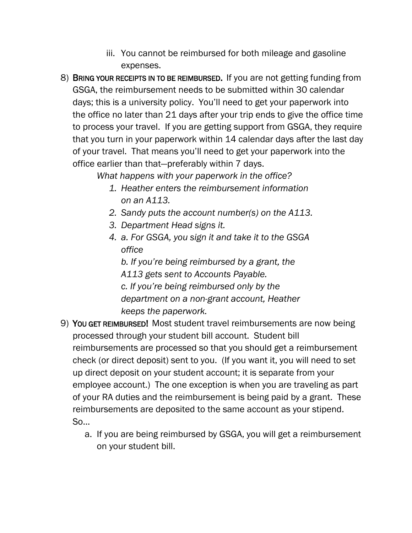- iii. You cannot be reimbursed for both mileage and gasoline expenses.
- 8) BRING YOUR RECEIPTS IN TO BE REIMBURSED. If you are not getting funding from GSGA, the reimbursement needs to be submitted within 30 calendar days; this is a university policy. You'll need to get your paperwork into the office no later than 21 days after your trip ends to give the office time to process your travel. If you are getting support from GSGA, they require that you turn in your paperwork within 14 calendar days after the last day of your travel. That means you'll need to get your paperwork into the office earlier than that—preferably within 7 days.

*What happens with your paperwork in the office?*

- *1. Heather enters the reimbursement information on an A113.*
- *2. Sandy puts the account number(s) on the A113.*
- *3. Department Head signs it.*
- *4. a. For GSGA, you sign it and take it to the GSGA office*

*b. If you're being reimbursed by a grant, the A113 gets sent to Accounts Payable. c. If you're being reimbursed only by the department on a non-grant account, Heather* 

*keeps the paperwork.*

- 9) YOU GET REIMBURSED! Most student travel reimbursements are now being processed through your student bill account. Student bill reimbursements are processed so that you should get a reimbursement check (or direct deposit) sent to you. (If you want it, you will need to set up direct deposit on your student account; it is separate from your employee account.) The one exception is when you are traveling as part of your RA duties and the reimbursement is being paid by a grant. These reimbursements are deposited to the same account as your stipend. So…
	- a. If you are being reimbursed by GSGA, you will get a reimbursement on your student bill.